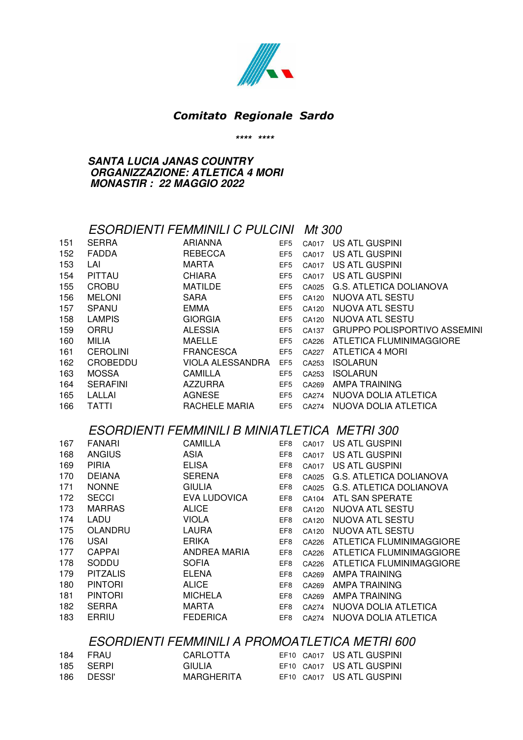

#### *Comitato Regionale Sardo*

#### **\*\*\*\* \*\*\*\***

#### **SANTA LUCIA JANAS COUNTRY ORGANIZZAZIONE: ATLETICA 4 MORI MONASTIR : 22 MAGGIO 2022**

#### ESORDIENTI FEMMINILI C PULCINI Mt 300

| 151 | <b>SERRA</b>    | <b>ARIANNA</b>   | EF <sub>5</sub> | CA017 | US ATL GUSPINI                      |
|-----|-----------------|------------------|-----------------|-------|-------------------------------------|
| 152 | <b>FADDA</b>    | <b>REBECCA</b>   | EF <sub>5</sub> | CA017 | US ATL GUSPINI                      |
| 153 | LAI             | <b>MARTA</b>     | EF <sub>5</sub> | CA017 | US ATL GUSPINI                      |
| 154 | PITTAU          | <b>CHIARA</b>    | EF <sub>5</sub> | CA017 | US ATL GUSPINI                      |
| 155 | <b>CROBU</b>    | <b>MATILDE</b>   | EF <sub>5</sub> | CA025 | G.S. ATLETICA DOLIANOVA             |
| 156 | <b>MELONI</b>   | <b>SARA</b>      | EF <sub>5</sub> | CA120 | NUOVA ATL SESTU                     |
| 157 | <b>SPANU</b>    | <b>EMMA</b>      | EF <sub>5</sub> | CA120 | NUOVA ATL SESTU                     |
| 158 | <b>LAMPIS</b>   | <b>GIORGIA</b>   | EF <sub>5</sub> | CA120 | NUOVA ATL SESTU                     |
| 159 | ORRU            | <b>ALESSIA</b>   | EF <sub>5</sub> | CA137 | <b>GRUPPO POLISPORTIVO ASSEMINI</b> |
| 160 | MILIA           | <b>MAELLE</b>    | EF <sub>5</sub> | CA226 | ATLETICA FLUMINIMAGGIORE            |
| 161 | <b>CEROLINI</b> | <b>FRANCESCA</b> | EF <sub>5</sub> | CA227 | <b>ATLETICA 4 MORI</b>              |
| 162 | CROBEDDU        | VIOLA ALESSANDRA | EF <sub>5</sub> | CA253 | <b>ISOLARUN</b>                     |
| 163 | <b>MOSSA</b>    | <b>CAMILLA</b>   | EF <sub>5</sub> | CA253 | <b>ISOLARUN</b>                     |
| 164 | <b>SERAFINI</b> | <b>AZZURRA</b>   | EF <sub>5</sub> | CA269 | AMPA TRAINING                       |
| 165 | LALLAI          | AGNESE           | EF <sub>5</sub> | CA274 | NUOVA DOLIA ATLETICA                |
| 166 | <b>TATTI</b>    | RACHELE MARIA    | EF <sub>5</sub> | CA274 | NUOVA DOLIA ATLETICA                |
|     |                 |                  |                 |       |                                     |

### ESORDIENTI FEMMINILI B MINIATLETICA METRI 300

| 167 | <b>FANARI</b>   | CAMILLA             | EF8             | CA017 | US ATL GUSPINI                 |
|-----|-----------------|---------------------|-----------------|-------|--------------------------------|
| 168 | <b>ANGIUS</b>   | ASIA                | EF8             | CA017 | US ATL GUSPINI                 |
| 169 | <b>PIRIA</b>    | <b>ELISA</b>        | EF8             | CA017 | US ATL GUSPINI                 |
| 170 | <b>DEIANA</b>   | <b>SERENA</b>       | EF <sub>8</sub> | CA025 | G.S. ATLETICA DOLIANOVA        |
| 171 | <b>NONNE</b>    | <b>GIULIA</b>       | EF <sub>8</sub> | CA025 | <b>G.S. ATLETICA DOLIANOVA</b> |
| 172 | <b>SECCI</b>    | <b>EVA LUDOVICA</b> | EF8             | CA104 | ATL SAN SPERATE                |
| 173 | <b>MARRAS</b>   | <b>ALICE</b>        | EF <sub>8</sub> | CA120 | NUOVA ATL SESTU                |
| 174 | LADU            | <b>VIOLA</b>        | EF <sub>8</sub> | CA120 | NUOVA ATL SESTU                |
| 175 | OLANDRU         | LAURA               | EF8             | CA120 | NUOVA ATL SESTU                |
| 176 | <b>USAI</b>     | <b>ERIKA</b>        | EF <sub>8</sub> | CA226 | ATLETICA FLUMINIMAGGIORE       |
| 177 | <b>CAPPAI</b>   | ANDREA MARIA        | EF8             | CA226 | ATLETICA FLUMINIMAGGIORE       |
| 178 | SODDU           | <b>SOFIA</b>        | EF8             | CA226 | ATLETICA FLUMINIMAGGIORE       |
| 179 | <b>PITZALIS</b> | <b>ELENA</b>        | EF <sub>8</sub> | CA269 | AMPA TRAINING                  |
| 180 | <b>PINTORI</b>  | <b>ALICE</b>        | EF <sub>8</sub> | CA269 | AMPA TRAINING                  |
| 181 | <b>PINTORI</b>  | <b>MICHELA</b>      | EF <sub>8</sub> | CA269 | AMPA TRAINING                  |
| 182 | <b>SERRA</b>    | <b>MARTA</b>        | EF <sub>8</sub> | CA274 | NUOVA DOLIA ATLETICA           |
| 183 | <b>ERRIU</b>    | <b>FEDERICA</b>     | EF <sub>8</sub> | CA274 | NUOVA DOLIA ATLETICA           |

### ESORDIENTI FEMMINILI A PROMOATLETICA METRI 600

| 184 | FRAU       | CARLOTTA      | EF10 CA017 US ATL GUSPINI |
|-----|------------|---------------|---------------------------|
|     | 185 SERPI  | <b>GIULIA</b> | EF10 CA017 US ATL GUSPINI |
|     | 186 DESSI' | MARGHERITA    | EF10 CA017 US ATL GUSPINI |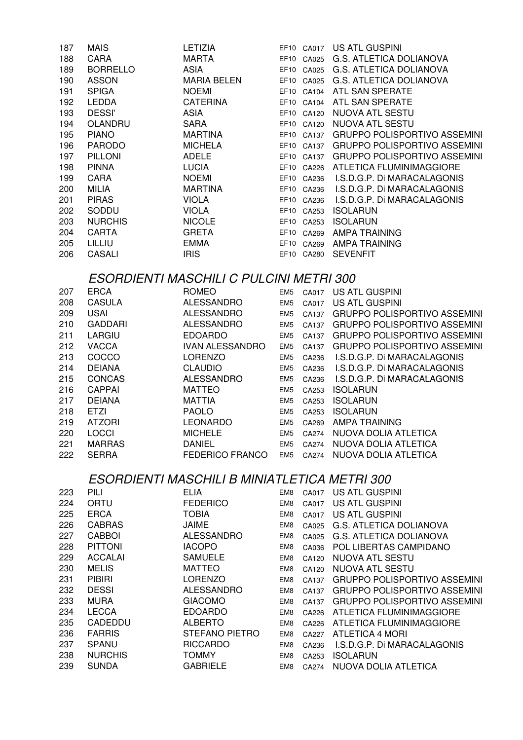| 187           | <b>MAIS</b>     | <b>LETIZIA</b>                                 |                 | EF10 CA017 | US ATL GUSPINI                           |
|---------------|-----------------|------------------------------------------------|-----------------|------------|------------------------------------------|
| 188           | CARA            | <b>MARTA</b>                                   |                 | EF10 CA025 | <b>G.S. ATLETICA DOLIANOVA</b>           |
| 189           | <b>BORRELLO</b> | <b>ASIA</b>                                    |                 | EF10 CA025 | G.S. ATLETICA DOLIANOVA                  |
| 190           | <b>ASSON</b>    | <b>MARIA BELEN</b>                             |                 | EF10 CA025 | <b>G.S. ATLETICA DOLIANOVA</b>           |
| 191           | <b>SPIGA</b>    | <b>NOEMI</b>                                   |                 | EF10 CA104 | ATL SAN SPERATE                          |
| 192           | <b>LEDDA</b>    | <b>CATERINA</b>                                |                 | EF10 CA104 | ATL SAN SPERATE                          |
| 193           | <b>DESSI'</b>   | <b>ASIA</b>                                    |                 | EF10 CA120 | NUOVA ATL SESTU                          |
| 194           | OLANDRU         | <b>SARA</b>                                    |                 | EF10 CA120 | NUOVA ATL SESTU                          |
| 195           | <b>PIANO</b>    | <b>MARTINA</b>                                 |                 | EF10 CA137 | <b>GRUPPO POLISPORTIVO ASSEMINI</b>      |
| 196           | <b>PARODO</b>   | <b>MICHELA</b>                                 |                 | EF10 CA137 | <b>GRUPPO POLISPORTIVO ASSEMINI</b>      |
| 197           | <b>PILLONI</b>  | <b>ADELE</b>                                   |                 | EF10 CA137 | <b>GRUPPO POLISPORTIVO ASSEMINI</b>      |
| 198           | <b>PINNA</b>    | <b>LUCIA</b>                                   |                 | EF10 CA226 | ATLETICA FLUMINIMAGGIORE                 |
| 199           | CARA            | <b>NOEMI</b>                                   |                 | EF10 CA236 | I.S.D.G.P. Di MARACALAGONIS              |
| 200           | <b>MILIA</b>    | <b>MARTINA</b>                                 |                 | EF10 CA236 | I.S.D.G.P. Di MARACALAGONIS              |
| 201           | <b>PIRAS</b>    | <b>VIOLA</b>                                   |                 | EF10 CA236 | I.S.D.G.P. Di MARACALAGONIS              |
| 202           | SODDU           | <b>VIOLA</b>                                   |                 | EF10 CA253 | <b>ISOLARUN</b>                          |
| 203           | <b>NURCHIS</b>  | <b>NICOLE</b>                                  |                 | EF10 CA253 | <b>ISOLARUN</b>                          |
| 204           | <b>CARTA</b>    | <b>GRETA</b>                                   |                 | EF10 CA269 | <b>AMPA TRAINING</b>                     |
| 205           | LILLIU          | <b>EMMA</b>                                    |                 | EF10 CA269 | <b>AMPA TRAINING</b>                     |
| 206           | CASALI          | <b>IRIS</b>                                    |                 | EF10 CA280 | <b>SEVENFIT</b>                          |
|               |                 |                                                |                 |            |                                          |
|               |                 | <b>ESORDIENTI MASCHILI C PULCINI METRI 300</b> |                 |            |                                          |
| 207           | <b>ERCA</b>     | <b>ROMEO</b>                                   | EM <sub>5</sub> | CA017      | US ATL GUSPINI                           |
| 208           | <b>CASULA</b>   | <b>ALESSANDRO</b>                              | EM <sub>5</sub> | CA017      | US ATL GUSPINI                           |
| 209           | <b>USAI</b>     | <b>ALESSANDRO</b>                              | EM <sub>5</sub> | CA137      | <b>GRUPPO POLISPORTIVO ASSEMINI</b>      |
| 210           | <b>GADDARI</b>  | <b>ALESSANDRO</b>                              | EM <sub>5</sub> | CA137      | <b>GRUPPO POLISPORTIVO ASSEMINI</b>      |
| 211           | LARGIU          | <b>EDOARDO</b>                                 | EM <sub>5</sub> | CA137      | <b>GRUPPO POLISPORTIVO ASSEMINI</b>      |
| 212           | <b>VACCA</b>    | <b>IVAN ALESSANDRO</b>                         | EM <sub>5</sub> | CA137      | <b>GRUPPO POLISPORTIVO ASSEMINI</b>      |
| 213           | COCCO           | <b>LORENZO</b>                                 | EM <sub>5</sub> | CA236      | I.S.D.G.P. Di MARACALAGONIS              |
| 214           | <b>DEIANA</b>   | <b>CLAUDIO</b>                                 | EM <sub>5</sub> | CA236      | I.S.D.G.P. Di MARACALAGONIS              |
| 215           | <b>CONCAS</b>   | <b>ALESSANDRO</b>                              | EM <sub>5</sub> | CA236      | I.S.D.G.P. Di MARACALAGONIS              |
| 216           | <b>CAPPAI</b>   | <b>MATTEO</b>                                  | EM <sub>5</sub> | CA253      | <b>ISOLARUN</b>                          |
| 217           | <b>DEIANA</b>   | <b>MATTIA</b>                                  | EM <sub>5</sub> | CA253      | <b>ISOLARUN</b>                          |
| 218           | <b>ETZI</b>     | <b>PAOLO</b>                                   | EM <sub>5</sub> | CA253      | <b>ISOLARUN</b>                          |
| 219           | <b>ATZORI</b>   | <b>LEONARDO</b>                                |                 | EM5 CA269  | <b>AMPA TRAINING</b>                     |
| 220           | LOCCI           | <b>MICHELE</b>                                 |                 |            | EM5 CA274 NUOVA DOLIA ATLETICA           |
| 221           | <b>MARRAS</b>   | <b>DANIEL</b>                                  | EM <sub>5</sub> | CA274      | NUOVA DOLIA ATLETICA                     |
| 222           | <b>SERRA</b>    | <b>FEDERICO FRANCO</b>                         | EM <sub>5</sub> | CA274      | NUOVA DOLIA ATLETICA                     |
|               |                 |                                                |                 |            |                                          |
|               |                 | ESORDIENTI MASCHILI B MINIATLETICA METRI 300   |                 |            |                                          |
| 223           | PILI            | <b>ELIA</b>                                    | EM8             | CA017      | US ATL GUSPINI                           |
| 224           | ORTU            | <b>FEDERICO</b>                                | EM <sub>8</sub> | CA017      | US ATL GUSPINI                           |
| 225           | <b>ERCA</b>     | <b>TOBIA</b>                                   | EM <sub>8</sub> | CA017      | US ATL GUSPINI                           |
| 226           | <b>CABRAS</b>   | <b>JAIME</b>                                   | EM <sub>8</sub> | CA025      | <b>G.S. ATLETICA DOLIANOVA</b>           |
| 227           | <b>CABBOI</b>   | <b>ALESSANDRO</b>                              | EM8             | CA025      | <b>G.S. ATLETICA DOLIANOVA</b>           |
| 228           | <b>PITTONI</b>  | <b>IACOPO</b>                                  | EM8             | CA036      | POL LIBERTAS CAMPIDANO                   |
| 229           | <b>ACCALAI</b>  | <b>SAMUELE</b>                                 | EM8             | CA120      | NUOVA ATL SESTU                          |
| 230           | <b>MELIS</b>    | <b>MATTEO</b>                                  | EM <sub>8</sub> |            | NUOVA ATL SESTU                          |
| 231           | <b>PIBIRI</b>   | <b>LORENZO</b>                                 | EM <sub>8</sub> | CA120      | <b>GRUPPO POLISPORTIVO ASSEMINI</b>      |
|               | <b>DESSI</b>    |                                                |                 | CA137      | <b>GRUPPO POLISPORTIVO ASSEMINI</b>      |
| 232           |                 | <b>ALESSANDRO</b>                              | EM8             | CA137      |                                          |
| 233           | <b>MURA</b>     | <b>GIACOMO</b>                                 | EM8             | CA137      | <b>GRUPPO POLISPORTIVO ASSEMINI</b>      |
| 234           | <b>LECCA</b>    | <b>EDOARDO</b>                                 | EM <sub>8</sub> | CA226      | ATLETICA FLUMINIMAGGIORE                 |
| 235           | CADEDDU         | <b>ALBERTO</b>                                 | EM8             | CA226      | ATLETICA FLUMINIMAGGIORE                 |
| 236           | <b>FARRIS</b>   | <b>STEFANO PIETRO</b>                          | EM8             | CA227      | <b>ATLETICA 4 MORI</b>                   |
| 237<br>$\sim$ | SPANU<br>100110 | <b>RICCARDO</b><br><b>TOMANI</b>               | EM8             | CA236      | I.S.D.G.P. Di MARACALAGONIS<br>ותו המיוח |

- NURCHIS TOMMY EM8 CA253 ISOLARUN
- SUNDA GABRIELE EM8 CA274 NUOVA DOLIA ATLETICA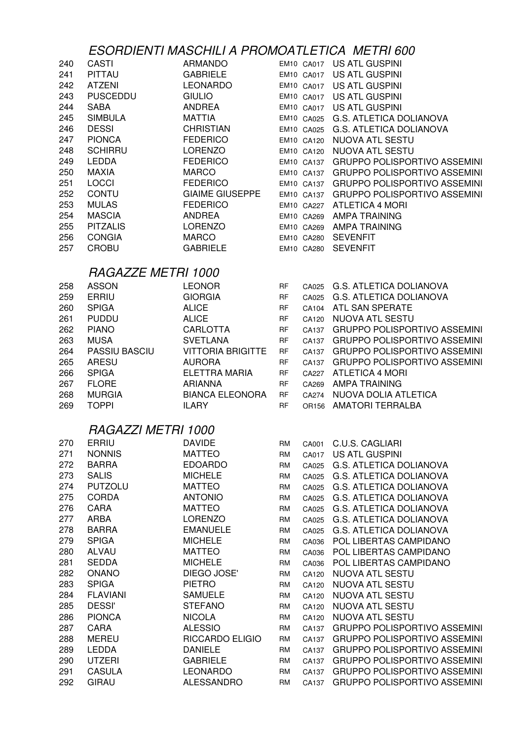# ESORDIENTI MASCHILI A PROMOATLETICA METRI 600

| 240 | CASTI           | <b>ARMANDO</b>         | <b>EM10 CA017</b> | US ATL GUSPINI                      |
|-----|-----------------|------------------------|-------------------|-------------------------------------|
| 241 | <b>PITTAU</b>   | <b>GABRIELE</b>        | <b>EM10 CA017</b> | US ATL GUSPINI                      |
| 242 | ATZENI          | LEONARDO               | <b>EM10 CA017</b> | US ATL GUSPINI                      |
| 243 | <b>PUSCEDDU</b> | <b>GIULIO</b>          | <b>EM10 CA017</b> | US ATL GUSPINI                      |
| 244 | SABA            | ANDREA                 | EM10 CA017        | US ATL GUSPINI                      |
| 245 | <b>SIMBULA</b>  | <b>MATTIA</b>          | <b>EM10 CA025</b> | G.S. ATLETICA DOLIANOVA             |
| 246 | <b>DESSI</b>    | <b>CHRISTIAN</b>       | EM10 CA025        | G.S. ATLETICA DOLIANOVA             |
| 247 | <b>PIONCA</b>   | <b>FEDERICO</b>        | EM10 CA120        | NUOVA ATL SESTU                     |
| 248 | <b>SCHIRRU</b>  | <b>LORENZO</b>         | EM10 CA120        | NUOVA ATL SESTU                     |
| 249 | <b>LEDDA</b>    | <b>FEDERICO</b>        | EM10 CA137        | <b>GRUPPO POLISPORTIVO ASSEMINI</b> |
| 250 | <b>MAXIA</b>    | <b>MARCO</b>           | EM10 CA137        | GRUPPO POLISPORTIVO ASSEMINI        |
| 251 | <b>LOCCI</b>    | <b>FEDERICO</b>        | EM10 CA137        | <b>GRUPPO POLISPORTIVO ASSEMINI</b> |
| 252 | <b>CONTU</b>    | <b>GIAIME GIUSEPPE</b> | EM10 CA137        | GRUPPO POLISPORTIVO ASSEMINI        |
| 253 | <b>MULAS</b>    | <b>FEDERICO</b>        | EM10 CA227        | ATLETICA 4 MORI                     |
| 254 | <b>MASCIA</b>   | ANDREA                 | EM10 CA269        | AMPA TRAINING                       |
| 255 | <b>PITZALIS</b> | LORENZO                | EM10 CA269        | AMPA TRAINING                       |
| 256 | <b>CONGIA</b>   | <b>MARCO</b>           | EM10 CA280        | <b>SEVENFIT</b>                     |
| 257 | <b>CROBU</b>    | <b>GABRIELE</b>        | EM10 CA280        | <b>SEVENFIT</b>                     |

## RAGAZZE METRI 1000

| 258 | <b>ASSON</b>         | LEONOR                   | <b>RF</b> | CA025 | G.S. ATLETICA DOLIANOVA             |
|-----|----------------------|--------------------------|-----------|-------|-------------------------------------|
| 259 | ERRIU                | <b>GIORGIA</b>           | <b>RF</b> | CA025 | G.S. ATLETICA DOLIANOVA             |
| 260 | <b>SPIGA</b>         | <b>ALICE</b>             | <b>RF</b> | CA104 | ATL SAN SPERATE                     |
| 261 | <b>PUDDU</b>         | <b>ALICE</b>             | <b>RF</b> | CA120 | NUOVA ATL SESTU                     |
| 262 | <b>PIANO</b>         | <b>CARLOTTA</b>          | <b>RF</b> | CA137 | <b>GRUPPO POLISPORTIVO ASSEMINI</b> |
| 263 | <b>MUSA</b>          | <b>SVETLANA</b>          | <b>RF</b> | CA137 | <b>GRUPPO POLISPORTIVO ASSEMINI</b> |
| 264 | <b>PASSIU BASCIU</b> | <b>VITTORIA BRIGITTE</b> | <b>RF</b> | CA137 | <b>GRUPPO POLISPORTIVO ASSEMINI</b> |
| 265 | ARESU                | <b>AURORA</b>            | <b>RF</b> | CA137 | <b>GRUPPO POLISPORTIVO ASSEMINI</b> |
| 266 | <b>SPIGA</b>         | ELETTRA MARIA            | <b>RF</b> | CA227 | ATLETICA 4 MORI                     |
| 267 | <b>FLORE</b>         | ARIANNA                  | <b>RF</b> | CA269 | AMPA TRAINING                       |
| 268 | <b>MURGIA</b>        | <b>BIANCA ELEONORA</b>   | <b>RF</b> | CA274 | NUOVA DOLIA ATLETICA                |
| 269 | TOPPI                | <b>ILARY</b>             | RF        | OR156 | AMATORI TERRALBA                    |

## RAGAZZI METRI 1000

| 270 | ERRIU           | <b>DAVIDE</b>          | <b>RM</b> | CA001 | <b>C.U.S. CAGLIARI</b>              |
|-----|-----------------|------------------------|-----------|-------|-------------------------------------|
| 271 | <b>NONNIS</b>   | MATTEO                 | <b>RM</b> | CA017 | US ATL GUSPINI                      |
| 272 | <b>BARRA</b>    | <b>EDOARDO</b>         | <b>RM</b> | CA025 | <b>G.S. ATLETICA DOLIANOVA</b>      |
| 273 | <b>SALIS</b>    | <b>MICHELE</b>         | <b>RM</b> | CA025 | <b>G.S. ATLETICA DOLIANOVA</b>      |
| 274 | <b>PUTZOLU</b>  | <b>MATTEO</b>          | RM        | CA025 | <b>G.S. ATLETICA DOLIANOVA</b>      |
| 275 | <b>CORDA</b>    | <b>ANTONIO</b>         | <b>RM</b> | CA025 | <b>G.S. ATLETICA DOLIANOVA</b>      |
| 276 | CARA            | <b>MATTEO</b>          | <b>RM</b> | CA025 | <b>G.S. ATLETICA DOLIANOVA</b>      |
| 277 | ARBA            | <b>LORENZO</b>         | <b>RM</b> | CA025 | <b>G.S. ATLETICA DOLIANOVA</b>      |
| 278 | <b>BARRA</b>    | <b>EMANUELE</b>        | RM        | CA025 | <b>G.S. ATLETICA DOLIANOVA</b>      |
| 279 | <b>SPIGA</b>    | <b>MICHELE</b>         | <b>RM</b> | CA036 | POL LIBERTAS CAMPIDANO              |
| 280 | <b>ALVAU</b>    | <b>MATTEO</b>          | <b>RM</b> | CA036 | POL LIBERTAS CAMPIDANO              |
| 281 | <b>SEDDA</b>    | <b>MICHELE</b>         | <b>RM</b> | CA036 | POL LIBERTAS CAMPIDANO              |
| 282 | <b>ONANO</b>    | DIEGO JOSE'            | RM        | CA120 | NUOVA ATL SESTU                     |
| 283 | <b>SPIGA</b>    | <b>PIETRO</b>          | <b>RM</b> | CA120 | <b>NUOVA ATL SESTU</b>              |
| 284 | <b>FLAVIANI</b> | <b>SAMUELE</b>         | <b>RM</b> | CA120 | NUOVA ATL SESTU                     |
| 285 | <b>DESSI'</b>   | <b>STEFANO</b>         | <b>RM</b> | CA120 | NUOVA ATL SESTU                     |
| 286 | <b>PIONCA</b>   | <b>NICOLA</b>          | <b>RM</b> | CA120 | NUOVA ATL SESTU                     |
| 287 | <b>CARA</b>     | <b>ALESSIO</b>         | RM        | CA137 | <b>GRUPPO POLISPORTIVO ASSEMINI</b> |
| 288 | <b>MEREU</b>    | <b>RICCARDO ELIGIO</b> | RM        | CA137 | <b>GRUPPO POLISPORTIVO ASSEMINI</b> |
| 289 | <b>LEDDA</b>    | <b>DANIELE</b>         | RM        | CA137 | <b>GRUPPO POLISPORTIVO ASSEMINI</b> |
| 290 | <b>UTZERI</b>   | <b>GABRIELE</b>        | <b>RM</b> | CA137 | <b>GRUPPO POLISPORTIVO ASSEMINI</b> |
| 291 | <b>CASULA</b>   | <b>LEONARDO</b>        | RM        | CA137 | <b>GRUPPO POLISPORTIVO ASSEMINI</b> |
| 292 | <b>GIRAU</b>    | <b>ALESSANDRO</b>      | RM        | CA137 | <b>GRUPPO POLISPORTIVO ASSEMINI</b> |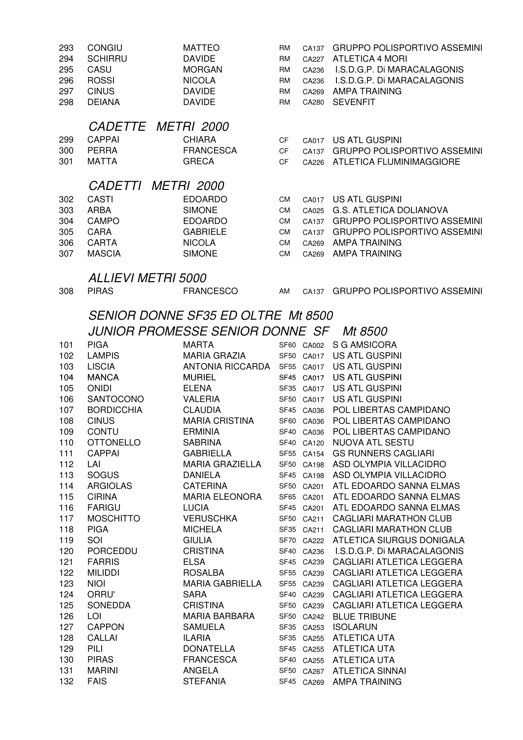| 293<br>294<br>295<br>296<br>297<br>298                      | <b>CONGIU</b><br><b>SCHIRRU</b><br>CASU<br><b>ROSSI</b><br><b>CINUS</b><br><b>DEIANA</b>                                                        | <b>MATTEO</b><br><b>DAVIDE</b><br><b>MORGAN</b><br><b>NICOLA</b><br><b>DAVIDE</b><br><b>DAVIDE</b>                                                                                                                                                      | RM<br><b>RM</b><br><b>RM</b><br>RM<br><b>RM</b><br><b>RM</b>               | CA137<br>CA227<br>CA236<br>CA236<br>CA269<br>CA280                                                           | <b>GRUPPO POLISPORTIVO ASSEMINI</b><br><b>ATLETICA 4 MORI</b><br>I.S.D.G.P. Di MARACALAGONIS<br>I.S.D.G.P. Di MARACALAGONIS<br><b>AMPA TRAINING</b><br><b>SEVENFIT</b>                                                                        |
|-------------------------------------------------------------|-------------------------------------------------------------------------------------------------------------------------------------------------|---------------------------------------------------------------------------------------------------------------------------------------------------------------------------------------------------------------------------------------------------------|----------------------------------------------------------------------------|--------------------------------------------------------------------------------------------------------------|-----------------------------------------------------------------------------------------------------------------------------------------------------------------------------------------------------------------------------------------------|
| 299<br>300<br>301                                           | CADETTE METRI 2000<br><b>CAPPAI</b><br><b>PERRA</b><br><b>MATTA</b>                                                                             | <b>CHIARA</b><br><b>FRANCESCA</b><br><b>GRECA</b>                                                                                                                                                                                                       | CF<br><b>CF</b><br><b>CF</b>                                               | CA017<br>CA137<br>CA226                                                                                      | US ATL GUSPINI<br><b>GRUPPO POLISPORTIVO ASSEMINI</b><br>ATLETICA FLUMINIMAGGIORE                                                                                                                                                             |
| 302<br>303<br>304<br>305<br>306<br>307                      | CADETTI METRI 2000<br><b>CASTI</b><br><b>ARBA</b><br><b>CAMPO</b><br>CARA<br><b>CARTA</b><br><b>MASCIA</b>                                      | <b>EDOARDO</b><br><b>SIMONE</b><br><b>EDOARDO</b><br><b>GABRIELE</b><br><b>NICOLA</b><br><b>SIMONE</b>                                                                                                                                                  | <b>CM</b><br><b>CM</b><br><b>CM</b><br><b>CM</b><br><b>CM</b><br><b>CM</b> | CA017<br>CA025<br>CA137<br>CA137<br>CA269<br>CA269                                                           | <b>US ATL GUSPINI</b><br><b>G.S. ATLETICA DOLIANOVA</b><br><b>GRUPPO POLISPORTIVO ASSEMINI</b><br><b>GRUPPO POLISPORTIVO ASSEMINI</b><br><b>AMPA TRAINING</b><br><b>AMPA TRAINING</b>                                                         |
| 308                                                         | <b>ALLIEVI METRI 5000</b><br><b>PIRAS</b>                                                                                                       | <b>FRANCESCO</b>                                                                                                                                                                                                                                        | AM                                                                         | CA137                                                                                                        | <b>GRUPPO POLISPORTIVO ASSEMINI</b>                                                                                                                                                                                                           |
| 101<br>102<br>103<br>104<br>105<br>106<br>107<br>108<br>109 | <b>PIGA</b><br><b>LAMPIS</b><br><b>LISCIA</b><br><b>MANCA</b><br><b>ONIDI</b><br>SANTOCONO<br><b>BORDICCHIA</b><br><b>CINUS</b><br><b>CONTU</b> | <b>SENIOR DONNE SF35 ED OLTRE Mt 8500</b><br>JUNIOR PROMESSE SENIOR DONNE SF<br><b>MARTA</b><br><b>MARIA GRAZIA</b><br>ANTONIA RICCARDA<br><b>MURIEL</b><br><b>ELENA</b><br><b>VALERIA</b><br><b>CLAUDIA</b><br><b>MARIA CRISTINA</b><br><b>ERMINIA</b> |                                                                            | SF60 CA002<br>SF50 CA017<br>SF55 CA017<br>SF45 CA017<br>SF35 CA017<br>SF50 CA017<br>SF45 CA036<br>SF60 CA036 | <i>Mt 8500</i><br>S G AMSICORA<br><b>US ATL GUSPINI</b><br><b>US ATL GUSPINI</b><br>US ATL GUSPINI<br><b>US ATL GUSPINI</b><br><b>US ATL GUSPINI</b><br>POL LIBERTAS CAMPIDANO<br>POL LIBERTAS CAMPIDANO<br>SF40 CA036 POL LIBERTAS CAMPIDANO |
| 110<br>111<br>112<br>113<br>114<br>115<br>116<br>117        | <b>OTTONELLO</b><br><b>CAPPAI</b><br>LAI<br><b>SOGUS</b><br><b>ARGIOLAS</b><br><b>CIRINA</b><br><b>FARIGU</b><br><b>MOSCHITTO</b>               | <b>SABRINA</b><br><b>GABRIELLA</b><br><b>MARIA GRAZIELLA</b><br><b>DANIELA</b><br><b>CATERINA</b><br><b>MARIA ELEONORA</b><br><b>LUCIA</b><br><b>VERUSCHKA</b>                                                                                          |                                                                            | SF55 CA154<br>SF50 CA198<br>SF45 CA198<br>SF50 CA201<br>SF65 CA201<br>SF45 CA201<br>SF50 CA211               | SF40 CA120 NUOVA ATL SESTU<br><b>GS RUNNERS CAGLIARI</b><br>ASD OLYMPIA VILLACIDRO<br>ASD OLYMPIA VILLACIDRO<br>ATL EDOARDO SANNA ELMAS<br>ATL EDOARDO SANNA ELMAS<br>ATL EDOARDO SANNA ELMAS<br><b>CAGLIARI MARATHON CLUB</b>                |
| 118<br>119<br>120<br>121<br>122<br>123<br>124               | <b>PIGA</b><br>SOI<br><b>PORCEDDU</b><br><b>FARRIS</b><br><b>MILIDDI</b><br><b>NIOI</b><br>ORRU'                                                | <b>MICHELA</b><br><b>GIULIA</b><br><b>CRISTINA</b><br><b>ELSA</b><br>ROSALBA<br><b>MARIA GABRIELLA</b><br><b>SARA</b>                                                                                                                                   |                                                                            | SF35 CA211<br>SF70 CA222<br>SF40 CA236<br>SF45 CA239<br>SF55 CA239<br>SF55 CA239<br>SF40 CA239               | <b>CAGLIARI MARATHON CLUB</b><br>ATLETICA SIURGUS DONIGALA<br>I.S.D.G.P. Di MARACALAGONIS<br>CAGLIARI ATLETICA LEGGERA<br>CAGLIARI ATLETICA LEGGERA<br>CAGLIARI ATLETICA LEGGERA<br>CAGLIARI ATLETICA LEGGERA                                 |
| 125<br>126<br>127<br>128<br>129<br>130<br>131<br>132        | <b>SONEDDA</b><br>LOI<br><b>CAPPON</b><br><b>CALLAI</b><br>PILI<br><b>PIRAS</b><br><b>MARINI</b><br><b>FAIS</b>                                 | <b>CRISTINA</b><br><b>MARIA BARBARA</b><br><b>SAMUELA</b><br><b>ILARIA</b><br><b>DONATELLA</b><br><b>FRANCESCA</b><br>ANGELA<br><b>STEFANIA</b>                                                                                                         |                                                                            | SF50 CA239<br>SF50 CA242<br>SF35 CA253<br>SF35 CA255<br>SF45 CA255<br>SF40 CA255<br>SF50 CA267<br>SF45 CA269 | CAGLIARI ATLETICA LEGGERA<br><b>BLUE TRIBUNE</b><br><b>ISOLARUN</b><br>ATLETICA UTA<br><b>ATLETICA UTA</b><br><b>ATLETICA UTA</b><br><b>ATLETICA SINNAI</b><br><b>AMPA TRAINING</b>                                                           |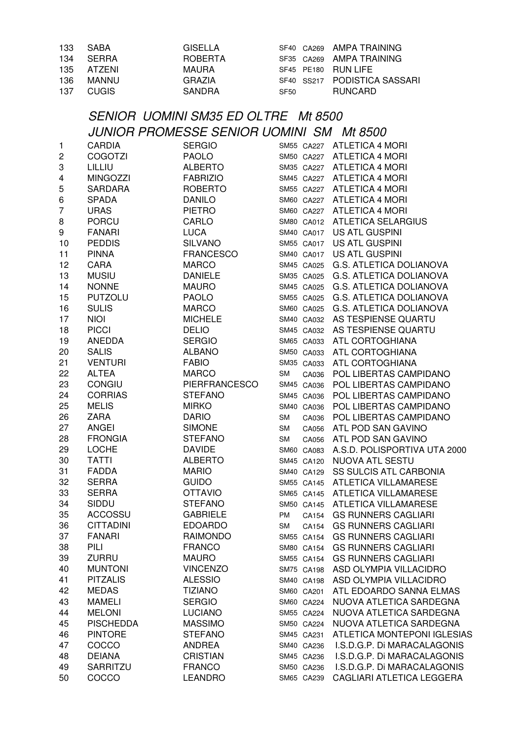| 133            | <b>SABA</b>      | <b>GISELLA</b>                                  |             | SF40 CA269 | AMPA TRAINING                      |
|----------------|------------------|-------------------------------------------------|-------------|------------|------------------------------------|
| 134            | <b>SERRA</b>     | <b>ROBERTA</b>                                  |             | SF35 CA269 | <b>AMPA TRAINING</b>               |
| 135            | <b>ATZENI</b>    | <b>MAURA</b>                                    | SF45 PE180  |            | <b>RUN LIFE</b>                    |
| 136            | <b>MANNU</b>     | <b>GRAZIA</b>                                   |             | SF40 SS217 | PODISTICA SASSARI                  |
| 137            | <b>CUGIS</b>     | <b>SANDRA</b>                                   | <b>SF50</b> |            | <b>RUNCARD</b>                     |
|                |                  |                                                 |             |            |                                    |
|                |                  | <b>SENIOR UOMINI SM35 ED OLTRE Mt 8500</b>      |             |            |                                    |
|                |                  | <b>JUNIOR PROMESSE SENIOR UOMINI SM Mt 8500</b> |             |            |                                    |
| 1              | <b>CARDIA</b>    | <b>SERGIO</b>                                   |             |            | SM55 CA227 ATLETICA 4 MORI         |
| 2              | <b>COGOTZI</b>   | <b>PAOLO</b>                                    |             | SM50 CA227 | <b>ATLETICA 4 MORI</b>             |
| 3              | LILLIU           | ALBERTO                                         |             |            | SM35 CA227 ATLETICA 4 MORI         |
| 4              | MINGOZZI         | <b>FABRIZIO</b>                                 |             |            | SM45 CA227 ATLETICA 4 MORI         |
| 5              | SARDARA          | <b>ROBERTO</b>                                  |             |            | SM55 CA227 ATLETICA 4 MORI         |
| 6              | <b>SPADA</b>     | <b>DANILO</b>                                   |             |            | SM60 CA227 ATLETICA 4 MORI         |
| $\overline{7}$ | <b>URAS</b>      | <b>PIETRO</b>                                   |             |            | SM60 CA227 ATLETICA 4 MORI         |
| 8              | <b>PORCU</b>     | CARLO                                           |             |            | SM80 CA012 ATLETICA SELARGIUS      |
| 9              | <b>FANARI</b>    | <b>LUCA</b>                                     |             | SM40 CA017 | US ATL GUSPINI                     |
| 10             | <b>PEDDIS</b>    | <b>SILVANO</b>                                  |             | SM55 CA017 | US ATL GUSPINI                     |
| 11             | <b>PINNA</b>     | <b>FRANCESCO</b>                                |             | SM40 CA017 | US ATL GUSPINI                     |
| 12             | CARA             | <b>MARCO</b>                                    |             | SM45 CA025 | G.S. ATLETICA DOLIANOVA            |
| 13             | <b>MUSIU</b>     | <b>DANIELE</b>                                  | SM35 CA025  |            | G.S. ATLETICA DOLIANOVA            |
| 14             | <b>NONNE</b>     | <b>MAURO</b>                                    | SM45 CA025  |            | G.S. ATLETICA DOLIANOVA            |
| 15             | <b>PUTZOLU</b>   | <b>PAOLO</b>                                    |             | SM55 CA025 | <b>G.S. ATLETICA DOLIANOVA</b>     |
| 16             | <b>SULIS</b>     | MARCO                                           | SM60 CA025  |            | <b>G.S. ATLETICA DOLIANOVA</b>     |
| 17             | <b>NIOI</b>      | <b>MICHELE</b>                                  |             | SM40 CA032 | AS TESPIENSE QUARTU                |
| 18             | <b>PICCI</b>     | <b>DELIO</b>                                    |             | SM45 CA032 | AS TESPIENSE QUARTU                |
| 19             | ANEDDA           | <b>SERGIO</b>                                   |             | SM65 CA033 | ATL CORTOGHIANA                    |
| 20             | <b>SALIS</b>     | <b>ALBANO</b>                                   |             | SM50 CA033 | ATL CORTOGHIANA                    |
| 21             | <b>VENTURI</b>   | <b>FABIO</b>                                    |             | SM35 CA033 | ATL CORTOGHIANA                    |
| 22             | <b>ALTEA</b>     | <b>MARCO</b>                                    | <b>SM</b>   | CA036      | POL LIBERTAS CAMPIDANO             |
| 23             | <b>CONGIU</b>    | PIERFRANCESCO                                   | SM45 CA036  |            | POL LIBERTAS CAMPIDANO             |
| 24             | <b>CORRIAS</b>   | <b>STEFANO</b>                                  | SM45 CA036  |            | POL LIBERTAS CAMPIDANO             |
| 25             | <b>MELIS</b>     | <b>MIRKO</b>                                    | SM40 CA036  |            | POL LIBERTAS CAMPIDANO             |
| 26             | <b>ZARA</b>      | <b>DARIO</b>                                    | <b>SM</b>   | CA036      | POL LIBERTAS CAMPIDANO             |
| 27             | <b>ANGEI</b>     | <b>SIMONE</b>                                   | <b>SM</b>   | CA056      | ATL POD SAN GAVINO                 |
| 28             | <b>FRONGIA</b>   | <b>STEFANO</b>                                  |             | SM CA056   | ATL POD SAN GAVINO                 |
| 29             | <b>LOCHE</b>     | <b>DAVIDE</b>                                   | SM60 CA083  |            | A.S.D. POLISPORTIVA UTA 2000       |
| 30             | <b>TATTI</b>     | <b>ALBERTO</b>                                  | SM45 CA120  |            | NUOVA ATL SESTU                    |
| 31             | <b>FADDA</b>     | <b>MARIO</b>                                    | SM40 CA129  |            | SS SULCIS ATL CARBONIA             |
| 32             | <b>SERRA</b>     | <b>GUIDO</b>                                    | SM55 CA145  |            | <b>ATLETICA VILLAMARESE</b>        |
| 33             | <b>SERRA</b>     | <b>OTTAVIO</b>                                  | SM65 CA145  |            | <b>ATLETICA VILLAMARESE</b>        |
| 34             | SIDDU            | <b>STEFANO</b>                                  |             | SM50 CA145 | ATLETICA VILLAMARESE               |
| 35             | <b>ACCOSSU</b>   | <b>GABRIELE</b>                                 | PM          | CA154      | <b>GS RUNNERS CAGLIARI</b>         |
| 36             | <b>CITTADINI</b> | <b>EDOARDO</b>                                  | <b>SM</b>   | CA154      | <b>GS RUNNERS CAGLIARI</b>         |
| 37             | <b>FANARI</b>    | <b>RAIMONDO</b>                                 |             | SM55 CA154 | <b>GS RUNNERS CAGLIARI</b>         |
| 38             | PILI             | <b>FRANCO</b>                                   | SM80 CA154  |            | <b>GS RUNNERS CAGLIARI</b>         |
| 39             | <b>ZURRU</b>     | <b>MAURO</b>                                    | SM55 CA154  |            | <b>GS RUNNERS CAGLIARI</b>         |
| 40             | <b>MUNTONI</b>   | <b>VINCENZO</b>                                 | SM75 CA198  |            | ASD OLYMPIA VILLACIDRO             |
| 41             | <b>PITZALIS</b>  | <b>ALESSIO</b>                                  |             | SM40 CA198 | ASD OLYMPIA VILLACIDRO             |
| 42             | <b>MEDAS</b>     | <b>TIZIANO</b>                                  | SM60 CA201  |            | ATL EDOARDO SANNA ELMAS            |
| 43             | <b>MAMELI</b>    | <b>SERGIO</b>                                   | SM60 CA224  |            | NUOVA ATLETICA SARDEGNA            |
| 44             | <b>MELONI</b>    | <b>LUCIANO</b>                                  | SM55 CA224  |            | NUOVA ATLETICA SARDEGNA            |
| 45             | <b>PISCHEDDA</b> | <b>MASSIMO</b>                                  | SM50 CA224  |            | NUOVA ATLETICA SARDEGNA            |
| 46             | <b>PINTORE</b>   | <b>STEFANO</b>                                  | SM45 CA231  |            | <b>ATLETICA MONTEPONI IGLESIAS</b> |
| 47             | COCCO            | <b>ANDREA</b>                                   | SM40 CA236  |            | I.S.D.G.P. Di MARACALAGONIS        |
| 48             | <b>DEIANA</b>    | <b>CRISTIAN</b>                                 | SM45 CA236  |            | I.S.D.G.P. Di MARACALAGONIS        |
| 49             | SARRITZU         | <b>FRANCO</b>                                   | SM50 CA236  |            | I.S.D.G.P. Di MARACALAGONIS        |
| 50             | COCCO            | <b>LEANDRO</b>                                  |             | SM65 CA239 | CAGLIARI ATLETICA LEGGERA          |
|                |                  |                                                 |             |            |                                    |